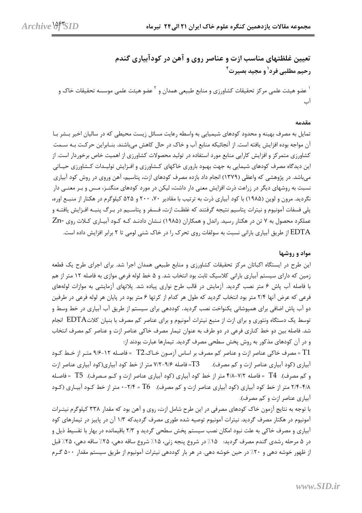تعیین غلظتهای مناسب ازت و عناصر روی و آهن در کودآبیاری گندم رحيم مطلبي فرد<sup>1</sup> و مجيد بصيرت<sup>2</sup> <sup>י</sup> عضو هيئت علمي مركز تحقيقات كشاورزي و منابع طبيعي همدان و <sup>۲</sup> عضو هيئت علمي موسسه تحقيقات خاک و آب

## مقدمه

تمایل به مصرف بهینه و محدود کودهای شیمیایی به واسطه رعایت مسائل زیست محیطی که در سالیان اخیر بـشر بـا آن مواجه بوده افزایش یافته است. از آنجائیکه منابع آب و خاک در حال کاهش میباشند. بنـابراین حرکـت بـه ســمت کشاورزی متمرکز و افزایش کارایی منابع مورد استفاده در تولید محصولات کشاورزی از اهمیت خاص برخوردار است. از این دیدگاه مصرف کودهای شیمایی به جهت بهبود باروری خاکهای کـشاورزی و افـزایش تولیـدات کـشاورزی حیـاتی میباشد. در پژوهشی که واعظی (۱۳۷۹) انجام داد بازده مصرف کودهای ازت، پتاسیم، آهن وروی در روش کود آبیاری نسبت به روشهای دیگر در زراعت ذرت افزایش معنی دار داشت، لیکن در مورد کودهای منگنــز، مــس و بـر معنــی دار نگردید. مرون و لوین (۱۹۸۵) با کود آبیاری ذرت به ترتیب با مقادیر ۷۰، ۲۰۰ و ۵۲۵ کیلوگرم در هکتار از منبع اوره، پلی فسفات آمونیوم و نیترات پتاسیم نتیجه گرفتند که غلظـت ازت، فـسفر و پتاسـیم در بـرگ پنبـه افـزایش یافتـه و عملکرد محصول به ۷ تن در هکتار رسید. راندل و همکاران (۱۹۸۵) نـشان دادنـد کـه کـود آبيـاري کـلات روي -Zn EDTA از طریق آبیاری بارانی نسبت به سولفات روی تحرک را در خاک شنی لومی تا ۲ برابر افزایش داده است.

## مواد و روشها

این طرح در ایستگاه اکباتان مرکز تحقیقات کشاورزی و منابع طبیعی همدان اجرا شد. برای اجرای طرح یک قطعه زمین که دارای سیستم آبیاری بارانی کلاسیک ثابت بود انتخاب شد. و ۵ خط لوله فرعی موازی به فاصله ۱۲ متر از هم با فاصله آب پاش ۶ متر نصب گردید. آزمایش در قالب طرح نواری پیاده شد. پلاتهای آزمایشی به موازات لولههای فرعی که عرض آنها ۲/۴ متر بود انتخاب گردید که طول هر کدام از کرتها ۶ متر بود در پایان هر لوله فرعی در طرفین دو آب پاش اضافی برای همپوشانی یکنواخت نصب گردید. کوددهی برای سیستم از طریق آب آبیاری در خط وسط و توسط یک دستگاه ونتوری و برای ازت از منبع نیترات آمونیوم و برای عناصر کم مصرف با بنیان کلاتEDTA انجام شد. فاصله بین دو خط کناری فرعی در دو طرف به عنوان تیمار مصرف خاکی عناصر ازت و عناصر کم مصرف انتخاب و در آن کودهای مذکور به روش پخش سطحی مصرف گردید. تیمارها عبارت بودند از:

T1 = مصرف خاكي عناصر ازت و عناصر كم مصرف بر اساس آزمـون خـاك.T2 = فاصـله ١٢-٩/۶ متـر از خـط كـود آبیاری (کود آبیاری عناصر ازت و کم مصرف). T3= فاصله ۹/۶-۷/۲ متر از خط کود آبیاری(کود آبیاری عناصر ازت و كم مصرف). T4 = فاصله ٧/٢-٢/٨ متر از خط كود آبياري (كود آبياري عناصر ازت و كـم مـصرف). T5 = فاصـله ۴/۸-۲/۴ متر از خط کود آبیاری (کود آبیاری عناصر ازت و کم مصرف). T6 = ۲/۴-۰ متر از خط کـود آبیـاری (کـود آبیاری عناصر ازت و کم مصرف).

با توجه به نتایج آزمون خاک کودهای مصرفی در این طرح شامل ازت، روی و آهن بود که مقدار ۳۳۸ کیلوگرم نیتـرات آمونیوم در هکتار مصرف گردید. نیترات آمونیوم توصیه شده طوری مصرف گردیدکه ۱/۳ آن در پاییز در تیمارهای کود آبیاری و مصرف خاکی به علت نبود امکان نصب سیستم یخش سطحی گردید و ۲/۳ باقیمانده در بهار با تقسیط ذیل و در ۵ مرحله رشدی گندم مصرف گردید: ۱۵٪ در شروع پنجه زنی، ۱۵٪ شروع ساقه دهی، ۲۵٪ ساقه دهی، ۲۵٪ قبل از ظهور خوشه دهی و ۲۰٪ در حین خوشه دهی. در هر بار کوددهی نیترات آمونیوم از طریق سیستم مقدار ۵۰۰ گـرم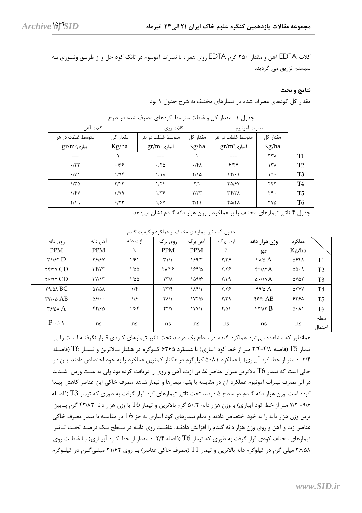کلات EDTA آهن و مقدار ۲۵۰ گرم EDTA روی همراه با نیترات آمونیوم در تانک کود حل و از طریـق ونتـوری بـه سیستم تزریق می گردید.

## نتايج و بحث

مقدار کل کودهای مصرف شده در تیمارهای مختلف به شرح جدول ۱ بود

|                |                   | نيترات آمونيوم                       | كلات آهن<br>كلات روى |                  |                         |                   |
|----------------|-------------------|--------------------------------------|----------------------|------------------|-------------------------|-------------------|
|                | مقدار کل          | متوسط غلظت در هر                     | مقدار کل             | متوسط غلظت در هر | مقدار کل                | متوسط غلظت در هر  |
|                | Kg/ha             | $gr/m^3$ ابیاری                      | Kg/ha                | $gr/m^3$ آبیاری  | Kg/ha                   | $gr/m^3$ اًبیاری  |
| T1             | $\tau\tau\lambda$ | ---                                  |                      | ---              | ١٠                      | ---               |
| T <sub>2</sub> | 15 <sub>h</sub>   | Y/Y                                  | $.15\lambda$         | .78              | .199                    | .77               |
| T <sub>3</sub> | 19.               | 151.1                                | $Y/\Delta$           | $1/\lambda$      | 1/95                    | $\cdot$ /Y)       |
| T <sub>4</sub> | YYY               | <b>TAISY</b>                         | $\frac{1}{2}$        | 1/5              | $\mathbf{r}/\mathbf{r}$ | $1/\Gamma \Delta$ |
| <b>T5</b>      | 59.               | $\mathbf{r} \mathbf{r} / \mathbf{r}$ | Y/YY                 | $1/\tau$ ۶       | $Y/Y$ ۹                 | 1/FV              |
| T <sub>6</sub> | ۳۷۵               | 40/71                                | $\tau/\tau$          | 1/8V             | 557                     | 7/19              |
|                |                   |                                      |                      |                  |                         |                   |

جدول ۱- مقدار کل و غلظت متوسط کودهای مصرف شده در طرح

جدول ۴ تاثیر تیمارهای مختلف را بر عملکرد و وزن هزار دانه گندم نشان میدهد.

| جدول ۴- تاثیر تیمارهای مختلف بر عملکرد و کیفیت گندم |  |  |
|-----------------------------------------------------|--|--|
|                                                     |  |  |

| روى دانه                                             | آهن دانه                         | ازت دانه         | روي برگ                        | آهن برگ              | ازت برگ    | وزن هزار دانه         | عملكرد                  |                |
|------------------------------------------------------|----------------------------------|------------------|--------------------------------|----------------------|------------|-----------------------|-------------------------|----------------|
| <b>PPM</b>                                           | <b>PPM</b>                       | $\gamma$ .       | <b>PPM</b>                     | <b>PPM</b>           | %          | gr                    | Kg/ha                   |                |
| $Y1/FY$ D                                            | <b>٣۶/۶٧</b>                     | 1/۶۱             | $T\setminus\setminus\setminus$ | 18915                | $Y/Y$ ۶    | $f_A/\Delta A$        | ۵۶۴۸                    | T1             |
| <b>TYTY CD</b>                                       | Tf/YT                            | $1/\Delta\Delta$ | <b>TAITS</b>                   | 18414                | $Y/Y$ ۶    | f9/ATA                | $\Delta \Delta \cdot 9$ | T <sub>2</sub> |
| $Y$ $Y$ $Y$                                          | $T$ $V/1$ $T$                    | $1/\Delta\Delta$ | $\Upsilon \Upsilon/\Lambda$    | 1097                 | $Y/Y$ ۹    | $\Delta$ ./ $\Delta$  | ۵۷۵۲                    | T <sub>3</sub> |
| $Y1$ $\triangle$ BC                                  | $\Delta Y/\Delta\lambda$         | 1/f              | $\tau\tau/\tau$                | $1\lambda f/1$       | $Y/Y$ ۶    | $f \circ A$           | <b>ATYY</b>             | T <sub>4</sub> |
| $\tau\tau/\cdot \Delta AB$                           | $\Delta \mathcal{S}/\cdot \cdot$ | 1/5              | $Y\Lambda/1$                   | $1YY/\Delta$         | $Y/Y$ ۹    | $f$ $f$ $f$ $A$ $B$   | ۶۳۶۵                    | T <sub>5</sub> |
| $\mathsf{r}\mathsf{F}\mathsf{r}\mathsf{d}\mathsf{A}$ | 44162                            | 1/56             | Y'                             | $\frac{1}{\sqrt{2}}$ | $Y/\Delta$ | $f\tau/\lambda\tau B$ | $\Delta \cdot \Lambda$  | T <sub>6</sub> |
| $P = \cdot / \cdot \cdot$                            | ns                               | ns               | ns                             | ns                   | ns         | ns                    | ns                      | سطح<br>احتمال  |

همانطور که مشاهده میشود عملکرد گندم در سطح یک درصد تحت تاثیر تیمارهای کـودی قـرار نگرفتـه اسـت ولـی تیمار T5 (فاصله ۲/۴-۲/۸ متر از خط کود آبیاری) با عملکرد ۶۳۶۵ کیلوگرم در هکتار بـالاترین و تیمـار T6 (فاصـله ۲/۴-۰ متر از خط کود آبیاری) با عملکرد ۵۰۸۱ کیلوگرم در هکتار کمترین عملکرد را به خود اختصاص دادند ایــن در حالی است که تیمار T6 بالاترین میزان عناصر غذایی ازت، آهن و روی را دریافت کرده بود ولی به علـت ورس شـدید در اثر مصرف نیترات آمونیوم عملکرد آن در مقایسه با بقیه تیمارها و تیمار شاهد مصرف خاکی این عناصر کاهش پیـدا کرده است. وزن هزار دانه گندم در سطح ۵ درصد تحت تاثیر تیمارهای کود قرار گرفت به طوری که تیمار T3 (فاصـله ۹/۶– ۷/۲ متر از خط کود آبیاری) با وزن هزار دانه ۵۰/۲ گرم بالاترین و تیمار T6 با وزن هزار دانه ۴۳/۸۳ گرم پـایین ترین وزن هزار دانه را به خود اختصاص دادند و تمام تیمارهای کود آبیاری به جز  $\rm T6$  در مقایسه با تیمار مصرف خاکی عناصر ازت و آهن و روی وزن هزار دانه گندم را افزایش دادنـد. غلظـت روی دانـه در سـطح یـک درصـد تحـت تـاثیر تیمارهای مختلف کودی قرار گرفت به طوری که تیمار T6 (فاصله ۲/۴-۰ مقدار از خط کــود آبیــاری) بــا غلظــت روی ۳۶/۵۸ میلی گرم در کیلوگرم دانه بالاترین و تیمار T1 (مصرف خاکی عناصر) بـا روی ۲۱/۶۲ میلـیگـرم در کیلـوگرم